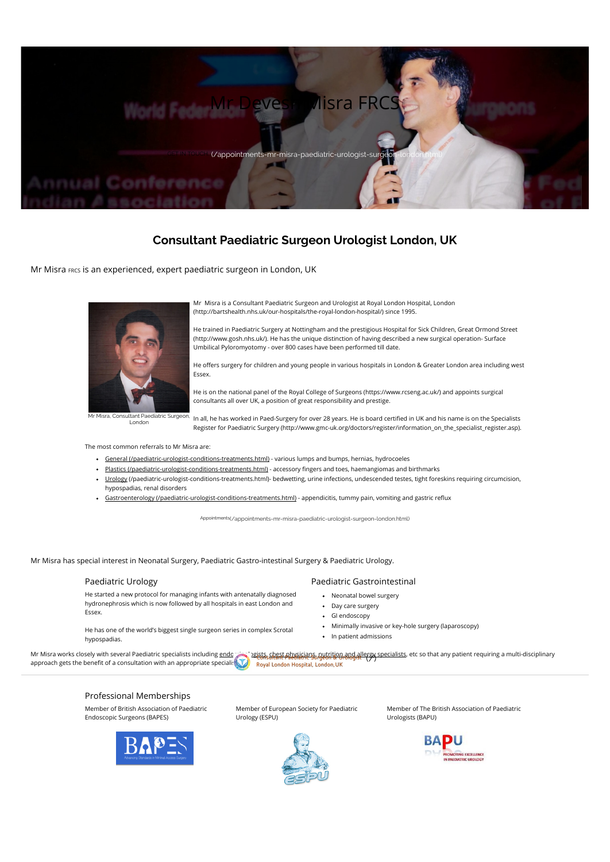# Consultant Paediatric Surgeon Urologist London, UK

Mr Misra FRCS is an experienced, expert paediatric surgeon in London, UK

Appointments[\(/appointments-mr-misra-paediatric-urologist-surgeon-london.html\)](http://www.paediatric-surgeon.com/appointments-mr-misra-paediatric-urologist-surgeon-london.html)

Mr Misra has special interest in Neonatal Surgery, Paediatric Gastro-intestinal Surgery & Paediatric Urology.

He offers surgery for children and young people in various hospitals in London & Greater London area including west Essex.

Mr Misra is a Consultant Paediatric Surgeon and Urologist at Royal London Hospital, London [\(http://bartshealth.nhs.uk/our-hospitals/the-royal-london-hospital/\)](http://bartshealth.nhs.uk/our-hospitals/the-royal-london-hospital/) since 1995.

In all, he has worked in Paed-Surgery for over 28 years. He is board certified in UK and his name is on the Specialists Register for Paediatric Surgery [\(http://www.gmc-uk.org/doctors/register/information\\_on\\_the\\_specialist\\_register.asp\).](http://www.gmc-uk.org/doctors/register/information_on_the_specialist_register.asp)

He trained in Paediatric Surgery at Nottingham and the prestigious Hospital for Sick Children, Great Ormond Street [\(http://www.gosh.nhs.uk/\).](http://www.gosh.nhs.uk/) He has the unique distinction of having described a new surgical operation- Surface Umbilical Pyloromyotomy - over 800 cases have been performed till date.

He is on the national panel of the Royal College of Surgeons [\(https://www.rcseng.ac.uk/\)](https://www.rcseng.ac.uk/) and appoints surgical consultants all over UK, a position of great responsibility and prestige.

The most common referrals to Mr Misra are:

- General [\(/paediatric-urologist-conditions-treatments.html\)](http://www.paediatric-surgeon.com/paediatric-urologist-conditions-treatments.html) various lumps and bumps, hernias, hydrocoeles
- Plastics [\(/paediatric-urologist-conditions-treatments.html\)](http://www.paediatric-surgeon.com/paediatric-urologist-conditions-treatments.html) accessory fingers and toes, haemangiomas and birthmarks
- Urology [\(/paediatric-urologist-conditions-treatments.html\)](http://www.paediatric-surgeon.com/paediatric-urologist-conditions-treatments.html) bedwetting, urine infections, undescended testes, tight foreskins requiring circumcision, hypospadias, renal disorders
- Gastroenterology [\(/paediatric-urologist-conditions-treatments.html\)](http://www.paediatric-surgeon.com/paediatric-urologist-conditions-treatments.html) appendicitis, tummy pain, vomiting and gastric reflux



Mr Misra, Consultant Paediatric Surgeon, London

#### Paediatric Urology

He started a new protocol for managing infants with antenatally diagnosed hydronephrosis which is now followed by all hospitals in east London and Essex.

He has one of the world's biggest single surgeon series in complex Scrotal hypospadias.

## Paediatric Gastrointestinal

- Neonatal bowel surgery
- Day care surgery
- GI endoscopy
- Minimally invasive or key-hole surgery (laparoscopy)
- In patient admissions

Mr Misra works closely with several Paediatric specialists including <u>endocrining indists, chest physicians, nutrition and allergy specialists</u>, etc so that any patient requiring a multi-disciplinary<br>approach gots the bone approach gets the benefit of a consultation with an appropriate specialist.



### Professional Memberships

Member of British Association of Paediatric Endoscopic Surgeons (BAPES)



Member of European Society for Paediatric Urology (ESPU)



Member of The British Association of Paediatric Urologists (BAPU)